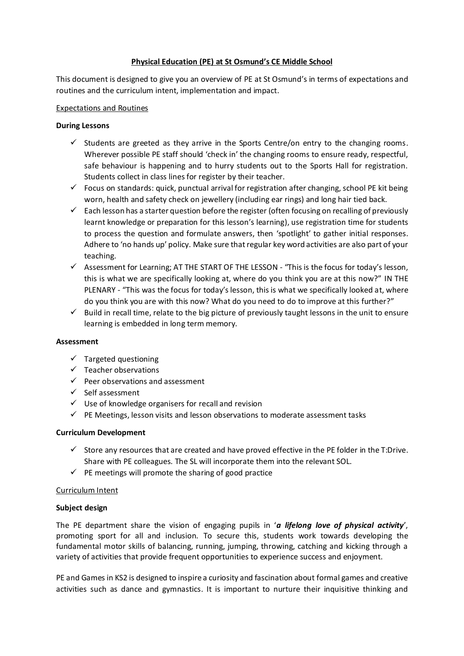## **Physical Education (PE) at St Osmund's CE Middle School**

This document is designed to give you an overview of PE at St Osmund's in terms of expectations and routines and the curriculum intent, implementation and impact.

## Expectations and Routines

# **During Lessons**

- $\checkmark$  Students are greeted as they arrive in the Sports Centre/on entry to the changing rooms. Wherever possible PE staff should 'check in' the changing rooms to ensure ready, respectful, safe behaviour is happening and to hurry students out to the Sports Hall for registration. Students collect in class lines for register by their teacher.
- $\checkmark$  Focus on standards: quick, punctual arrival for registration after changing, school PE kit being worn, health and safety check on jewellery (including ear rings) and long hair tied back.
- $\checkmark$  Each lesson has a starter question before the register (often focusing on recalling of previously learnt knowledge or preparation for this lesson's learning), use registration time for students to process the question and formulate answers, then 'spotlight' to gather initial responses. Adhere to 'no hands up' policy. Make sure that regular key word activities are also part of your teaching.
- $\checkmark$  Assessment for Learning; AT THE START OF THE LESSON "This is the focus for today's lesson, this is what we are specifically looking at, where do you think you are at this now?" IN THE PLENARY - "This was the focus for today's lesson, this is what we specifically looked at, where do you think you are with this now? What do you need to do to improve at this further?"
- Build in recall time, relate to the big picture of previously taught lessons in the unit to ensure learning is embedded in long term memory.

## **Assessment**

- $\checkmark$  Targeted questioning
- $\checkmark$  Teacher observations
- $\checkmark$  Peer observations and assessment
- $\checkmark$  Self assessment
- $\checkmark$  Use of knowledge organisers for recall and revision
- $\checkmark$  PE Meetings, lesson visits and lesson observations to moderate assessment tasks

# **Curriculum Development**

- $\checkmark$  Store any resources that are created and have proved effective in the PE folder in the T:Drive. Share with PE colleagues. The SL will incorporate them into the relevant SOL.
- $\checkmark$  PE meetings will promote the sharing of good practice

# Curriculum Intent

## **Subject design**

The PE department share the vision of engaging pupils in '*a lifelong love of physical activity*', promoting sport for all and inclusion. To secure this, students work towards developing the fundamental motor skills of balancing, running, jumping, throwing, catching and kicking through a variety of activities that provide frequent opportunities to experience success and enjoyment.

PE and Games in KS2 is designed to inspire a curiosity and fascination about formal games and creative activities such as dance and gymnastics. It is important to nurture their inquisitive thinking and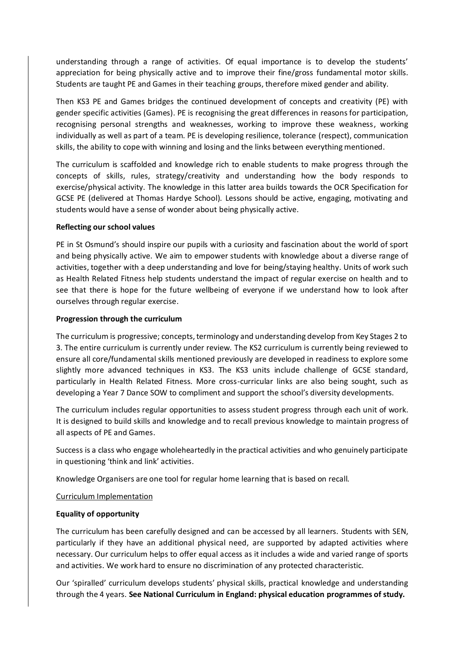understanding through a range of activities. Of equal importance is to develop the students' appreciation for being physically active and to improve their fine/gross fundamental motor skills. Students are taught PE and Games in their teaching groups, therefore mixed gender and ability.

Then KS3 PE and Games bridges the continued development of concepts and creativity (PE) with gender specific activities (Games). PE is recognising the great differences in reasons for participation, recognising personal strengths and weaknesses, working to improve these weakness, working individually as well as part of a team. PE is developing resilience, tolerance (respect), communication skills, the ability to cope with winning and losing and the links between everything mentioned.

The curriculum is scaffolded and knowledge rich to enable students to make progress through the concepts of skills, rules, strategy/creativity and understanding how the body responds to exercise/physical activity. The knowledge in this latter area builds towards the OCR Specification for GCSE PE (delivered at Thomas Hardye School). Lessons should be active, engaging, motivating and students would have a sense of wonder about being physically active.

## **Reflecting our school values**

PE in St Osmund's should inspire our pupils with a curiosity and fascination about the world of sport and being physically active. We aim to empower students with knowledge about a diverse range of activities, together with a deep understanding and love for being/staying healthy. Units of work such as Health Related Fitness help students understand the impact of regular exercise on health and to see that there is hope for the future wellbeing of everyone if we understand how to look after ourselves through regular exercise.

#### **Progression through the curriculum**

The curriculum is progressive; concepts, terminology and understanding develop from Key Stages 2 to 3. The entire curriculum is currently under review. The KS2 curriculum is currently being reviewed to ensure all core/fundamental skills mentioned previously are developed in readiness to explore some slightly more advanced techniques in KS3. The KS3 units include challenge of GCSE standard, particularly in Health Related Fitness. More cross-curricular links are also being sought, such as developing a Year 7 Dance SOW to compliment and support the school's diversity developments.

The curriculum includes regular opportunities to assess student progress through each unit of work. It is designed to build skills and knowledge and to recall previous knowledge to maintain progress of all aspects of PE and Games.

Success is a class who engage wholeheartedly in the practical activities and who genuinely participate in questioning 'think and link' activities.

Knowledge Organisers are one tool for regular home learning that is based on recall.

## Curriculum Implementation

## **Equality of opportunity**

The curriculum has been carefully designed and can be accessed by all learners. Students with SEN, particularly if they have an additional physical need, are supported by adapted activities where necessary. Our curriculum helps to offer equal access as it includes a wide and varied range of sports and activities. We work hard to ensure no discrimination of any protected characteristic.

Our 'spiralled' curriculum develops students' physical skills, practical knowledge and understanding through the 4 years. **See National Curriculum in England: physical education programmes of study.**